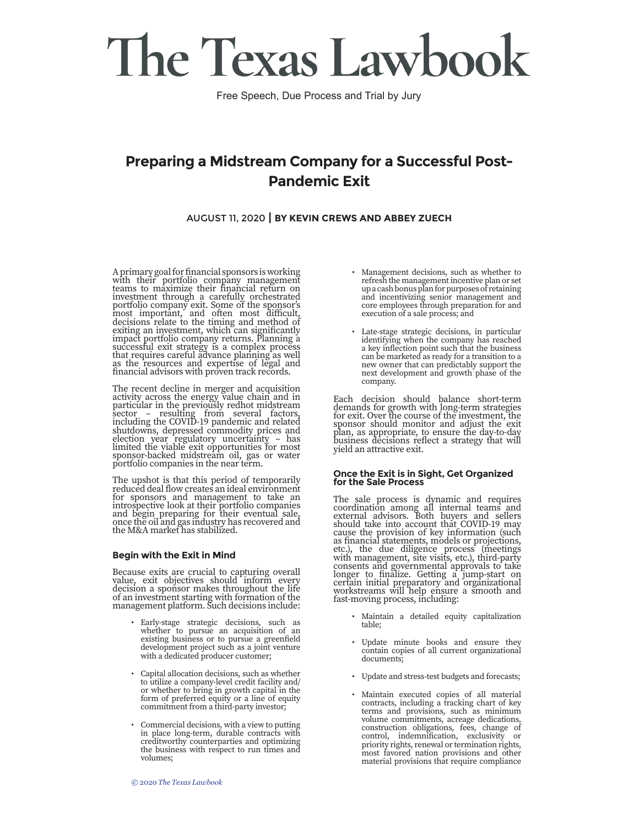Free Speech, Due Process and Trial by Jury

### **Preparing a Midstream Company for a Successful Post-Pandemic Exit**

#### AUGUST 11, 2020 **| BY KEVIN CREWS AND ABBEY ZUECH**

A primary goal for financial sponsors is working with their portfolio company management<br>teams to maximize their financial return on teams to maximize their financial return on investment through a carefully orchestrated portfolio company exit. Some of the sponsor's most important, and often most difficult, decisions relate to the timing and method of exiting an investment, which can significantly impact portfolio company returns. Planning a successful exit strategy is a complex process that requires careful advance planning as well as the resources and expertise of legal and financial advisors with proven track records.

The recent decline in merger and acquisition activity across the energy value chain and in particular in the previously redhot midstream sector – resulting from several factors, including the COVID-19 pandemic and related shutdowns, depressed commodity prices and election year regulatory uncertainty – has limited the viable exit opportunities for most sponsor-backed midstream oil, gas or water portfolio companies in the near term.

The upshot is that this period of temporarily reduced deal flow creates an ideal environment for sponsors and management to take an introspective look at their portfolio companies and begin preparing for their eventual sale, once the oil and gas industry has recovered and the M&A market has stabilized.

#### **Begin with the Exit in Mind**

Because exits are crucial to capturing overall value, exit objectives should inform every decision a sponsor makes throughout the life of an investment starting with formation of the management platform. Such decisions include:

- Early-stage strategic decisions, such as whether to pursue an acquisition of an existing business or to pursue a greenfield development project such as a joint venture with a dedicated producer customer;
- Capital allocation decisions, such as whether to utilize a company-level credit facility and/ or whether to bring in growth capital in the form of preferred equity or a line of equity commitment from a third-party investor;
- Commercial decisions, with a view to putting in place long-term, durable contracts with creditworthy counterparties and optimizing the business with respect to run times and volumes;
- Management decisions, such as whether to refresh the management incentive plan or set up a cash bonus plan for purposes of retaining and incentivizing senior management and core employees through preparation for and execution of a sale process; and
- Late-stage strategic decisions, in particular identifying when the company has reached a key inflection point such that the business can be marketed as ready for a transition to a new owner that can predictably support the next development and growth phase of the company.

Each decision should balance short-term demands for growth with long-term strategies for exit. Over the course of the investment, the sponsor should monitor and adjust the exit plan, as appropriate, to ensure the day-to-day business decisions reflect a strategy that will yield an attractive exit.

#### **Once the Exit is in Sight, Get Organized for the Sale Process**

The sale process is dynamic and requires coordination among all internal teams and external advisors. Both buyers and sellers should take into account that COVID-19 may cause the provision of key information (such as financial statements, models or projections, etc.), the due diligence process (meetings with management, site visits, etc.), third-party consents and governmental approvals to take longer to finalize. Getting a jump-start on certain initial preparatory and organizational workstreams will help ensure a smooth and fast-moving process, including:

- Maintain a detailed equity capitalization table;
- Update minute books and ensure they contain copies of all current organizational documents;
- Update and stress-test budgets and forecasts;
- Maintain executed copies of all material contracts, including a tracking chart of key terms and provisions, such as minimum volume commitments, acreage dedications, construction obligations, fees, change of control, indemnification, exclusivity or priority rights, renewal or termination rights, most favored nation provisions and other material provisions that require compliance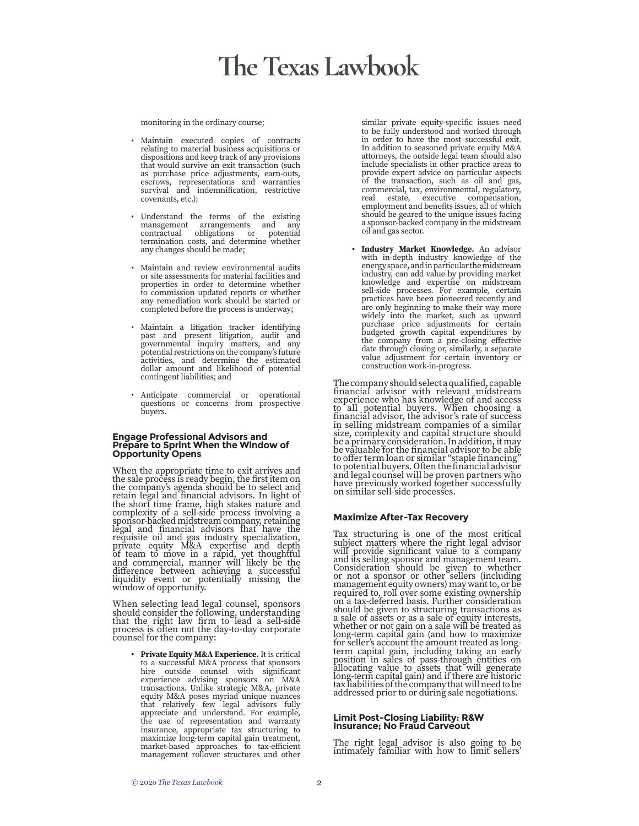monitoring in the ordinary course;

- Maintain executed copies of contracts relating to material business acquisitions or dispositions and keep track of any provisions that would survive an exit transaction (such as purchase price adjustments, earn-outs, escrows, representations and warranties survival and indemnification, restrictive covenants, etc.);
- Understand the terms of the existing management arrangements and any contractual obligations or potential termination costs, and determine whether any changes should be made;
- Maintain and review environmental audits or site assessments for material facilities and properties in order to determine whether to commission updated reports or whether any remediation work should be started or completed before the process is underway;
- Maintain a litigation tracker identifying past and present litigation, audit and governmental inquiry matters, and any potential restrictions on the company's future activities, and determine the estimated dollar amount and likelihood of potential contingent liabilities; and
- Anticipate commercial or operational questions or concerns from prospective buyers.

#### **Engage Professional Advisors and Prepare to Sprint When the Window of Opportunity Opens**

When the appropriate time to exit arrives and the sale process is ready begin, the first item on the company's agenda should be to select and retain legal and financial advisors. In light of the short time frame, high stakes nature and complexity of a sell-side process involving a sponsor-backed midstream company, retaining legal and financial advisors that have the requisite oil and gas industry specialization, private equity M&A expertise and depth of team to move in a rapid, yet thoughtful and commercial, manner will likely be the difference between achieving a successful liquidity event or potentially missing the window of opportunity.

When selecting lead legal counsel, sponsors should consider the following, understanding that the right law firm to lead a sell-side process is often not the day-to-day corporate counsel for the company:

**• Private Equity M&A Experience.** It is critical to a successful M&A process that sponsors hire outside counsel with significant experience advising sponsors on M&A transactions. Unlike strategic M&A, private equity M&A poses myriad unique nuances that relatively few legal advisors fully appreciate and understand. For example, the use of representation and warranty insurance, appropriate tax structuring to maximize long-term capital gain treatment, market-based approaches to tax-efficient management rollover structures and other

similar private equity-specific issues need to be fully understood and worked through in order to have the most successful exit. In addition to seasoned private equity M&A attorneys, the outside legal team should also include specialists in other practice areas to provide expert advice on particular aspects of the transaction, such as oil and gas, commercial, tax, environmental, regulatory, real estate, executive compensation, employment and benefits issues, all of which should be geared to the unique issues facing a sponsor-backed company in the midstream oil and gas sector.

**• Industry Market Knowledge.** An advisor with in-depth industry knowledge of the energy space, and in particular the midstream industry, can add value by providing market knowledge and expertise on midstream sell-side processes. For example, certain practices have been pioneered recently and are only beginning to make their way more widely into the market, such as upward purchase price adjustments for certain budgeted growth capital expenditures by the company from a pre-closing effective date through closing or, similarly, a separate value adjustment for certain inventory or construction work-in-progress.

The company should select a qualified, capable financial advisor with relevant midstream experience who has knowledge of and access to all potential buyers. When choosing a financial advisor, the advisor's rate of success in selling midstream companies of a similar size, complexity and capital structure should be a primary consideration. In addition, it may be valuable for the financial advisor to be able to offer term loan or similar "staple financing" to potential buyers. Often the financial advisor and legal counsel will be proven partners who have previously worked together successfully on similar sell-side processes.

#### **Maximize After-Tax Recovery**

Tax structuring is one of the most critical subject matters where the right legal advisor will provide significant value to a company and its selling sponsor and management team. Consideration should be given to whether or not a sponsor or other sellers (including management equity owners) may want to, or be required to, roll over some existing ownership on a tax-deferred basis. Further consideration should be given to structuring transactions as a sale of assets or as a sale of equity interests, whether or not gain on a sale will be treated as long-term capital gain (and how to maximize for seller's account the amount treated as longterm capital gain, including taking an early position in sales of pass-through entities on allocating value to assets that will generate long-term capital gain) and if there are historic tax liabilities of the company that will need to be addressed prior to or during sale negotiations.

#### **Limit Post-Closing Liability: R&W Insurance; No Fraud Carveout**

The right legal advisor is also going to be intimately familiar with how to limit sellers'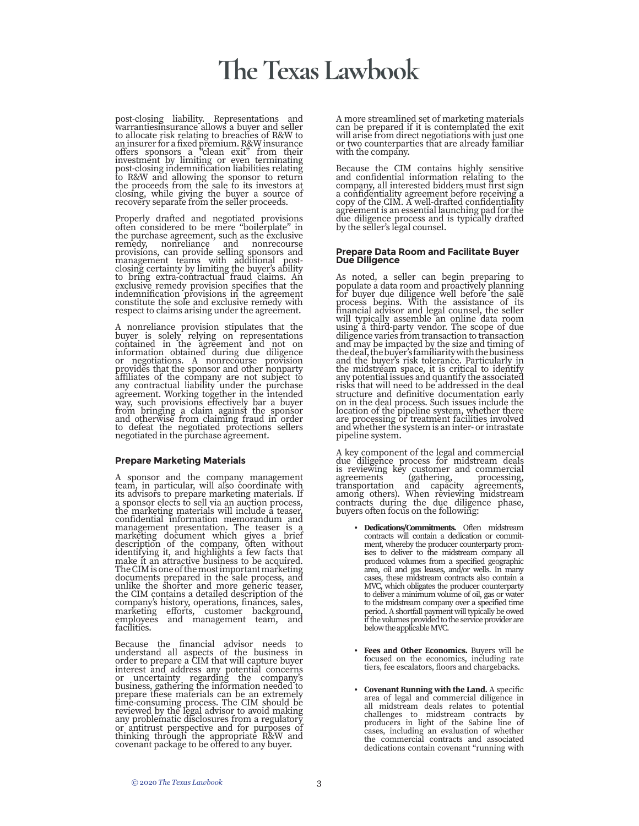post-closing liability. Representations and warrantiesinsurance allows a buyer and seller to allocate risk relating to breaches of R&W to an insurer for a fixed premium. R&W insurance offers sponsors a "clean exit" from their investment by limiting or even terminating post-closing indemnification liabilities relating to R&W and allowing the sponsor to return the proceeds from the sale to its investors at closing, while giving the buyer a source of recovery separate from the seller proceeds.

Properly drafted and negotiated provisions often considered to be mere "boilerplate" in the purchase agreement, such as the exclusive remedy, nonreliance and nonrecourse provisions, can provide selling sponsors and management teams with additional postclosing certainty by limiting the buyer's ability to bring extra-contractual fraud claims. An exclusive remedy provision specifies that the indemnification provisions in the agreement constitute the sole and exclusive remedy with respect to claims arising under the agreement.

A nonreliance provision stipulates that the buyer is solely relying on representations contained in the agreement and not on information obtained during due diligence or negotiations. A nonrecourse provision provides that the sponsor and other nonparty affiliates of the company are not subject to any contractual liability under the purchase agreement. Working together in the intended way, such provisions effectively bar a buyer from bringing a claim against the sponsor and otherwise from claiming fraud in order to defeat the negotiated protections sellers negotiated in the purchase agreement.

#### **Prepare Marketing Materials**

A sponsor and the company management team, in particular, will also coordinate with its advisors to prepare marketing materials. If a sponsor elects to sell via an auction process, the marketing materials will include a teaser, confidential information memorandum and management presentation. The teaser is a marketing document which gives a brief description of the company, often without identifying it, and highlights a few facts that make it an attractive business to be acquired. The CIM is one of the most important marketing documents prepared in the sale process, and unlike the shorter and more generic teaser, the CIM contains a detailed description of the company's history, operations, finances, sales, marketing efforts, customer background, employees and management team, and facilities.

Because the financial advisor needs to understand all aspects of the business in order to prepare a CIM that will capture buyer interest and address any potential concerns or uncertainty regarding the company's business, gathering the information needed to prepare these materials can be an extremely time-consuming process. The CIM should be reviewed by the legal advisor to avoid making any problematic disclosures from a regulatory or antitrust perspective and for purposes of thinking through the appropriate R&W and covenant package to be offered to any buyer.

A more streamlined set of marketing materials can be prepared if it is contemplated the exit will arise from direct negotiations with just one or two counterparties that are already familiar with the company.

Because the CIM contains highly sensitive and confidential information relating to the company, all interested bidders must first sign a confidentiality agreement before receiving a copy of the CIM. A well-drafted confidentiality agreement is an essential launching pad for the due diligence process and is typically drafted by the seller's legal counsel.

#### **Prepare Data Room and Facilitate Buyer Due Diligence**

As noted, a seller can begin preparing to populate a data room and proactively planning for buyer due diligence well before the sale process begins. With the assistance of its financial advisor and legal counsel, the seller will typically assemble an online data room using a third-party vendor. The scope of due diligence varies from transaction to transaction and may be impacted by the size and timing of the deal, the buyer's familiarity with the business and the buyer's risk tolerance. Particularly in the midstream space, it is critical to identify any potential issues and quantify the associated risks that will need to be addressed in the deal structure and definitive documentation early on in the deal process. Such issues include the location of the pipeline system, whether there are processing or treatment facilities involved and whether the system is an inter- or intrastate pipeline system.

A key component of the legal and commercial due diligence process for midstream deals is reviewing key customer and commercial agreements (gathering, processing, transportation and capacity agreements, among others). When reviewing midstream contracts during the due diligence phase, buyers often focus on the following:

- **• Dedications/Commitments.** Often midstream contracts will contain a dedication or commitment, whereby the producer counterparty promises to deliver to the midstream company all produced volumes from a specified geographic area, oil and gas leases, and/or wells. In many cases, these midstream contracts also contain a MVC, which obligates the producer counterparty to deliver a minimum volume of oil, gas or water to the midstream company over a specified time period. A shortfall payment will typically be owed if the volumes provided to the service provider are below the applicable MVC.
- **• Fees and Other Economics.** Buyers will be focused on the economics, including rate tiers, fee escalators, floors and chargebacks.
- **• Covenant Running with the Land.** A specific area of legal and commercial diligence in all midstream deals relates to potential challenges to midstream contracts by producers in light of the Sabine line of cases, including an evaluation of whether the commercial contracts and associated dedications contain covenant "running with